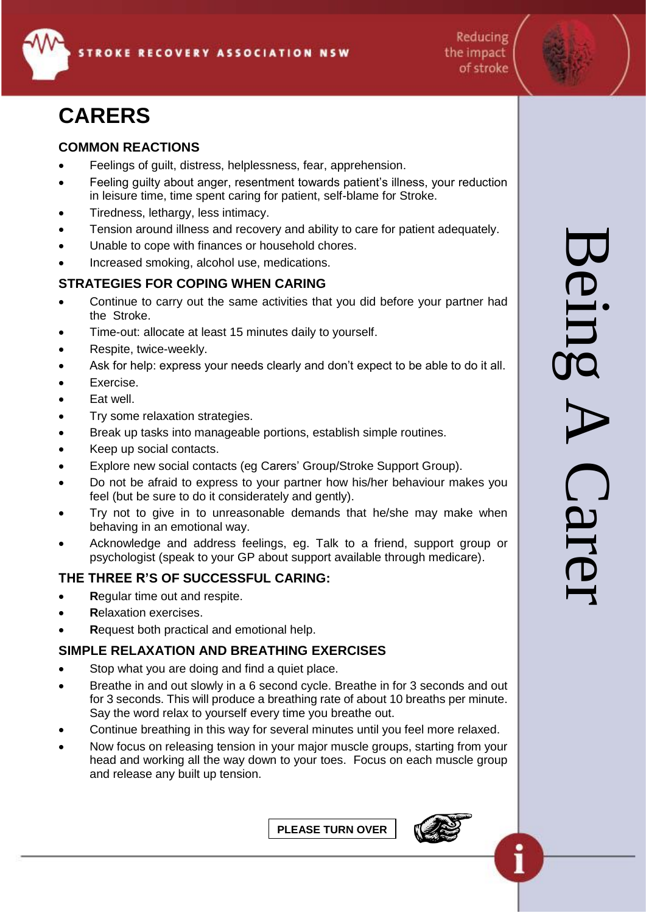

Reducing the impact of stroke

# **CARERS**

### **COMMON REACTIONS**

- Feelings of guilt, distress, helplessness, fear, apprehension.
- Feeling guilty about anger, resentment towards patient's illness, your reduction in leisure time, time spent caring for patient, self-blame for Stroke.
- Tiredness, lethargy, less intimacy.
- Tension around illness and recovery and ability to care for patient adequately.
- Unable to cope with finances or household chores.
- Increased smoking, alcohol use, medications.

#### **STRATEGIES FOR COPING WHEN CARING**

- Continue to carry out the same activities that you did before your partner had the Stroke.
- Time-out: allocate at least 15 minutes daily to yourself.
- Respite, twice-weekly.
- Ask for help: express your needs clearly and don't expect to be able to do it all.
- Exercise.
- Fat well.
- Try some relaxation strategies.
- Break up tasks into manageable portions, establish simple routines.
- Keep up social contacts.
- Explore new social contacts (eg Carers' Group/Stroke Support Group).
- Do not be afraid to express to your partner how his/her behaviour makes you feel (but be sure to do it considerately and gently).
- Try not to give in to unreasonable demands that he/she may make when behaving in an emotional way.
- Acknowledge and address feelings, eg. Talk to a friend, support group or psychologist (speak to your GP about support available through medicare).

#### **THE THREE R'S OF SUCCESSFUL CARING:**

- **R**egular time out and respite.
- **R**elaxation exercises.
- **R**equest both practical and emotional help.

#### **SIMPLE RELAXATION AND BREATHING EXERCISES**

- Stop what you are doing and find a quiet place.
- Breathe in and out slowly in a 6 second cycle. Breathe in for 3 seconds and out for 3 seconds. This will produce a breathing rate of about 10 breaths per minute. Say the word relax to yourself every time you breathe out.
- Continue breathing in this way for several minutes until you feel more relaxed.
- Now focus on releasing tension in your major muscle groups, starting from your head and working all the way down to your toes. Focus on each muscle group and release any built up tension.

**PLEASE TURN OVER**